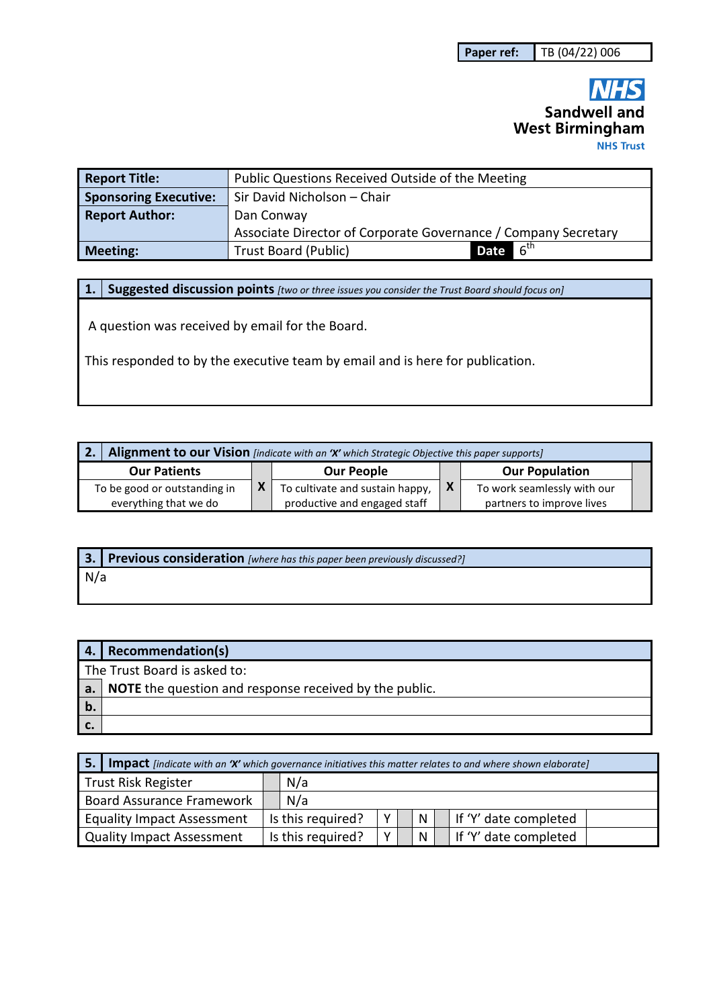## **NHS Sandwell and West Birmingham NHS Trust**

| <b>Report Title:</b>         | Public Questions Received Outside of the Meeting                        |  |  |  |  |  |
|------------------------------|-------------------------------------------------------------------------|--|--|--|--|--|
| <b>Sponsoring Executive:</b> | Sir David Nicholson - Chair                                             |  |  |  |  |  |
| <b>Report Author:</b>        | Dan Conway                                                              |  |  |  |  |  |
|                              | Associate Director of Corporate Governance / Company Secretary          |  |  |  |  |  |
| <b>Meeting:</b>              | $\blacktriangle$ 6 <sup>th</sup><br><b>Date</b><br>Trust Board (Public) |  |  |  |  |  |

**1. Suggested discussion points** *[two or three issues you consider the Trust Board should focus on]* 

A question was received by email for the Board.

This responded to by the executive team by email and is here for publication.

| Alignment to our Vision [indicate with an 'X' which Strategic Objective this paper supports] |  |                                 |     |                             |  |  |  |
|----------------------------------------------------------------------------------------------|--|---------------------------------|-----|-----------------------------|--|--|--|
| <b>Our Patients</b>                                                                          |  | <b>Our People</b>               |     | <b>Our Population</b>       |  |  |  |
| To be good or outstanding in                                                                 |  | To cultivate and sustain happy, | l X | To work seamlessly with our |  |  |  |
| everything that we do                                                                        |  | productive and engaged staff    |     | partners to improve lives   |  |  |  |

**3. Previous consideration** *[where has this paper been previously discussed?]* N/a

|    | 4. Recommendation(s)                                                      |
|----|---------------------------------------------------------------------------|
|    | The Trust Board is asked to:                                              |
|    | $\vert$ a. $\vert$ NOTE the question and response received by the public. |
| b. |                                                                           |
| c. |                                                                           |

| 5.<br><b>Impact</b> [indicate with an 'X' which governance initiatives this matter relates to and where shown elaborate] |                   |                   |   |  |   |  |                       |
|--------------------------------------------------------------------------------------------------------------------------|-------------------|-------------------|---|--|---|--|-----------------------|
| <b>Trust Risk Register</b>                                                                                               |                   | N/a               |   |  |   |  |                       |
| <b>Board Assurance Framework</b>                                                                                         | N/a               |                   |   |  |   |  |                       |
| <b>Equality Impact Assessment</b>                                                                                        | Is this required? |                   | Υ |  | N |  | If 'Y' date completed |
| <b>Quality Impact Assessment</b>                                                                                         |                   | Is this required? | v |  | N |  | If 'Y' date completed |